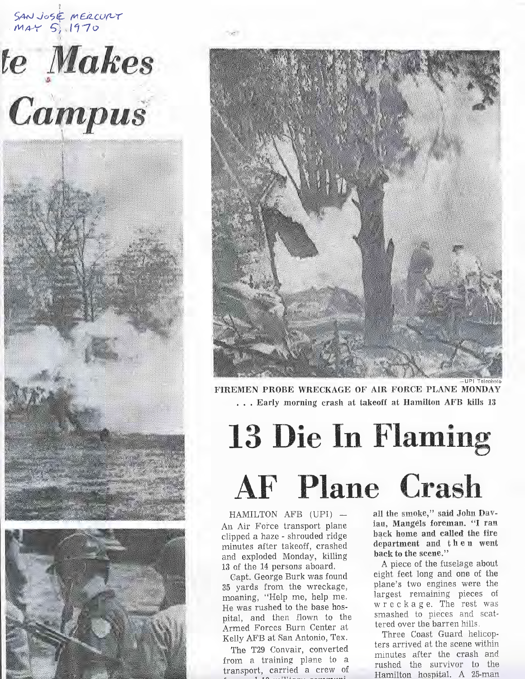SAN JOSE MERCURY  $max$  5, 1970





FIREMEN PROBE WRECKAGE OF AIR FORCE PLANE MONDAY . . . Early morning crash at takeoff at Hamilton AFE kills 13

## 13 Die In Flaming AF Plane Crash

HAMILTON AFB (UFI) An Air Force transport plane clipped a haze - shrouded ridge minutes after takeoff, crashed and exploded Monday, killing 13 of the 14 persons aboard.

0apt. George Burk was found 35 yards from the wreckage, moaning, "Help me, help me. He was rushed to the base hospital, and then flown to the Armed Forces Burn Center at Kelly AFB at San Antonio, "Iex.

The T29 Convair, converted from a training plane to a transport, carried a crew of all the smoke," said John Dawiau, Mangels foreman. "I ran back home and called the fire department and then went back to the scene."

A pieee of the fuselage about eight feet long and one of the plane's two engines were the largest remaining pieces of wreckage. The rest was smashed to pieces and scattered over the barren hills.

Three Coast Guard helicopters arrived at the scene within minutes after the crash and rushed the survivor to the Hamilton hospital. A 25-man